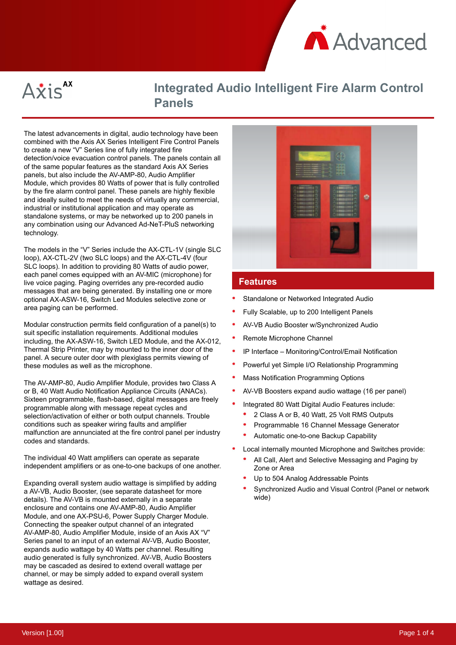



# **Integrated Audio Intelligent Fire Alarm Control Panels**

The latest advancements in digital, audio technology have been combined with the Axis AX Series Intelligent Fire Control Panels to create a new "V" Series line of fully integrated fire detection/voice evacuation control panels. The panels contain all of the same popular features as the standard Axis AX Series panels, but also include the AV-AMP-80, Audio Amplifier Module, which provides 80 Watts of power that is fully controlled by the fire alarm control panel. These panels are highly flexible and ideally suited to meet the needs of virtually any commercial, industrial or institutional application and may operate as standalone systems, or may be networked up to 200 panels in any combination using our Advanced Ad-NeT-PluS networking technology.

The models in the "V" Series include the AX-CTL-1V (single SLC loop), AX-CTL-2V (two SLC loops) and the AX-CTL-4V (four SLC loops). In addition to providing 80 Watts of audio power, each panel comes equipped with an AV-MIC (microphone) for live voice paging. Paging overrides any pre-recorded audio messages that are being generated. By installing one or more optional AX-ASW-16, Switch Led Modules selective zone or area paging can be performed.

Modular construction permits field configuration of a panel(s) to suit specific installation requirements. Additional modules including, the AX-ASW-16, Switch LED Module, and the AX-012, Thermal Strip Printer, may by mounted to the inner door of the panel. A secure outer door with plexiglass permits viewing of these modules as well as the microphone.

The AV-AMP-80, Audio Amplifier Module, provides two Class A or B, 40 Watt Audio Notification Appliance Circuits (ANACs). Sixteen programmable, flash-based, digital messages are freely programmable along with message repeat cycles and selection/activation of either or both output channels. Trouble conditions such as speaker wiring faults and amplifier malfunction are annunciated at the fire control panel per industry codes and standards.

The individual 40 Watt amplifiers can operate as separate independent amplifiers or as one-to-one backups of one another.

Expanding overall system audio wattage is simplified by adding a AV-VB, Audio Booster, (see separate datasheet for more details). The AV-VB is mounted externally in a separate enclosure and contains one AV-AMP-80, Audio Amplifier Module, and one AX-PSU-6, Power Supply Charger Module. Connecting the speaker output channel of an integrated AV-AMP-80, Audio Amplifier Module, inside of an Axis AX "V" Series panel to an input of an external AV-VB, Audio Booster, expands audio wattage by 40 Watts per channel. Resulting audio generated is fully synchronized. AV-VB, Audio Boosters may be cascaded as desired to extend overall wattage per channel, or may be simply added to expand overall system wattage as desired.



#### **Features**

- Standalone or Networked Integrated Audio
- Fully Scalable, up to 200 Intelligent Panels
- AV-VB Audio Booster w/Synchronized Audio
- Remote Microphone Channel
- IP Interface Monitoring/Control/Email Notification
- Powerful yet Simple I/O Relationship Programming
- Mass Notification Programming Options
- AV-VB Boosters expand audio wattage (16 per panel)
- Integrated 80 Watt Digital Audio Features include:
- 2 Class A or B, 40 Watt, 25 Volt RMS Outputs
- Programmable 16 Channel Message Generator
- Automatic one-to-one Backup Capability
- Local internally mounted Microphone and Switches provide:
	- All Call, Alert and Selective Messaging and Paging by Zone or Area
	- Up to 504 Analog Addressable Points
	- Synchronized Audio and Visual Control (Panel or network wide)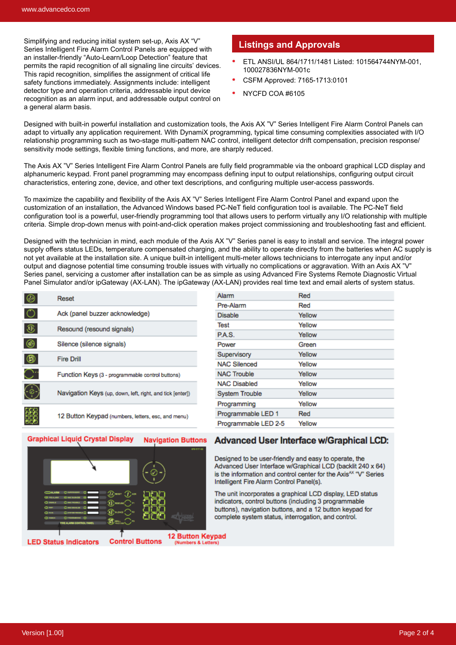Simplifying and reducing initial system set-up, Axis AX "V" Series Intelligent Fire Alarm Control Panels are equipped with an installer-friendly "Auto-Learn/Loop Detection" feature that permits the rapid recognition of all signaling line circuits' devices. This rapid recognition, simplifies the assignment of critical life safety functions immediately. Assignments include: intelligent detector type and operation criteria, addressable input device recognition as an alarm input, and addressable output control on a general alarm basis.

#### **Listings and Approvals**

- ETL ANSI/UL 864/1711/1481 Listed: 101564744NYM-001, 100027836NYM-001c
- CSFM Approved: 7165-1713:0101
- NYCFD COA #6105

Designed with built-in powerful installation and customization tools, the Axis AX "V" Series Intelligent Fire Alarm Control Panels can adapt to virtually any application requirement. With DynamiX programming, typical time consuming complexities associated with I/O relationship programming such as two-stage multi-pattern NAC control, intelligent detector drift compensation, precision response/ sensitivity mode settings, flexible timing functions, and more, are sharply reduced.

The Axis AX "V" Series Intelligent Fire Alarm Control Panels are fully field programmable via the onboard graphical LCD display and alphanumeric keypad. Front panel programming may encompass defining input to output relationships, configuring output circuit characteristics, entering zone, device, and other text descriptions, and configuring multiple user-access passwords.

To maximize the capability and flexibility of the Axis AX "V" Series Intelligent Fire Alarm Control Panel and expand upon the customization of an installation, the Advanced Windows based PC-NeT field configuration tool is available. The PC-NeT field configuration tool is a powerful, user-friendly programming tool that allows users to perform virtually any I/O relationship with multiple criteria. Simple drop-down menus with point-and-click operation makes project commissioning and troubleshooting fast and efficient.

Designed with the technician in mind, each module of the Axis AX "V" Series panel is easy to install and service. The integral power supply offers status LEDs, temperature compensated charging, and the ability to operate directly from the batteries when AC supply is not yet available at the installation site. A unique built-in intelligent multi-meter allows technicians to interrogate any input and/or output and diagnose potential time consuming trouble issues with virtually no complications or aggravation. With an Axis AX "V" Series panel, servicing a customer after installation can be as simple as using Advanced Fire Systems Remote Diagnostic Virtual Panel Simulator and/or ipGateway (AX-LAN). The ipGateway (AX-LAN) provides real time text and email alerts of system status.

| Reset                                                     |
|-----------------------------------------------------------|
| Ack (panel buzzer acknowledge)                            |
| Resound (resound signals)                                 |
| Silence (silence signals)                                 |
| <b>Fire Drill</b>                                         |
| Function Keys (3 - programmable control buttons)          |
| Navigation Keys (up, down, left, right, and tick [enter]) |
| 12 Button Keypad (numbers, letters, esc, and menu)        |

| Alarm                 | Red    |
|-----------------------|--------|
| Pre-Alarm             | Red    |
| <b>Disable</b>        | Yellow |
| Test                  | Yellow |
| P.A.S.                | Yellow |
| Power                 | Green  |
| Supervisory           | Yellow |
| <b>NAC Silenced</b>   | Yellow |
| <b>NAC Trouble</b>    | Yellow |
| <b>NAC Disabled</b>   | Yellow |
| <b>System Trouble</b> | Yellow |
| Programming           | Yellow |
| Programmable LED 1    | Red    |
| Programmable LED 2-5  | Yellow |
|                       |        |



#### **Advanced User Interface w/Graphical LCD:**

Designed to be user-friendly and easy to operate, the Advanced User Interface w/Graphical LCD (backlit 240 x 64) is the information and control center for the Axis<sup>AX</sup> "V" Series Intelligent Fire Alarm Control Panel(s).

The unit incorporates a graphical LCD display, LED status indicators, control buttons (including 3 programmable buttons), navigation buttons, and a 12 button keypad for complete system status, interrogation, and control.

**LED Status Indicators** 

**Graphical Liquid Crystal Display** 

**12 Button Keypad** (Numbers & Letters)

**Navigation Buttons**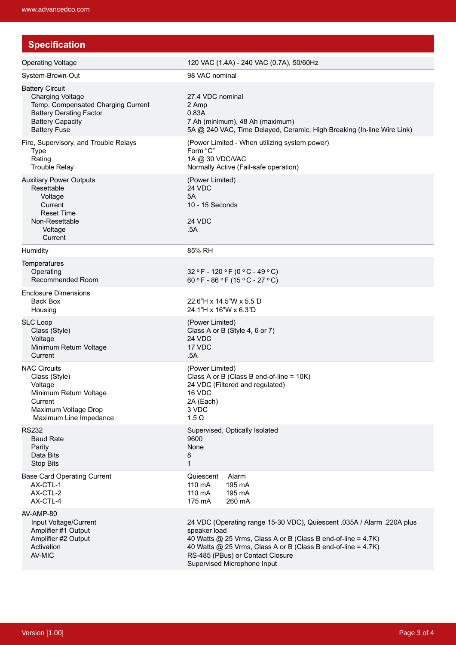| <b>Specification</b>                                                                                                                                                        |                                                                                                                                                                                                                                                                                             |  |  |
|-----------------------------------------------------------------------------------------------------------------------------------------------------------------------------|---------------------------------------------------------------------------------------------------------------------------------------------------------------------------------------------------------------------------------------------------------------------------------------------|--|--|
| <b>Operating Voltage</b>                                                                                                                                                    | 120 VAC (1.4A) - 240 VAC (0.7A), 50/60Hz                                                                                                                                                                                                                                                    |  |  |
| System-Brown-Out                                                                                                                                                            | 98 VAC nominal                                                                                                                                                                                                                                                                              |  |  |
| <b>Battery Circuit</b><br><b>Charging Voltage</b><br>Temp. Compensated Charging Current<br><b>Battery Derating Factor</b><br><b>Battery Capacity</b><br><b>Battery Fuse</b> | 27.4 VDC nominal<br>2 Amp<br>0.83A<br>7 Ah (minimum), 48 Ah (maximum)<br>5A @ 240 VAC, Time Delayed, Ceramic, High Breaking (In-line Wire Link)                                                                                                                                             |  |  |
| Fire, Supervisory, and Trouble Relays<br><b>Type</b><br>Rating<br><b>Trouble Relay</b>                                                                                      | (Power Limited - When utilizing system power)<br>Form "C"<br>1A @ 30 VDC/VAC<br>Normally Active (Fail-safe operation)                                                                                                                                                                       |  |  |
| <b>Auxiliary Power Outputs</b><br>Resettable<br>Voltage<br>Current<br><b>Reset Time</b><br>Non-Resettable<br>Voltage<br>Current                                             | (Power Limited)<br>24 VDC<br>5A<br>10 - 15 Seconds<br>24 VDC<br>.5A                                                                                                                                                                                                                         |  |  |
| Humidity                                                                                                                                                                    | 85% RH                                                                                                                                                                                                                                                                                      |  |  |
| Temperatures<br>Operating<br>Recommended Room                                                                                                                               | 32 °F - 120 °F (0 °C - 49 °C)<br>60 °F - 86 °F (15 °C - 27 °C)                                                                                                                                                                                                                              |  |  |
| Enclosure Dimensions<br>Back Box<br>Housing                                                                                                                                 | 22.6"H x 14.5"W x 5.5"D<br>24.1"H x 16"W x 6.3"D                                                                                                                                                                                                                                            |  |  |
| <b>SLC Loop</b><br>Class (Style)<br>Voltage<br>Minimum Return Voltage<br>Current                                                                                            | (Power Limited)<br>Class A or B (Style 4, 6 or 7)<br>24 VDC<br>17 VDC<br>.5A                                                                                                                                                                                                                |  |  |
| <b>NAC Circuits</b><br>Class (Style)<br>Voltage<br>Minimum Return Voltage<br>Current<br>Maximum Voltage Drop<br>Maximum Line Impedance                                      | (Power Limited)<br>Class A or B (Class B end-of-line = $10K$ )<br>24 VDC (Filtered and regulated)<br>16 VDC<br>2A (Each)<br>3 VDC<br>$1.5 \Omega$                                                                                                                                           |  |  |
| <b>RS232</b><br><b>Baud Rate</b><br>Parity<br>Data Bits<br>Stop Bits                                                                                                        | Supervised, Optically Isolated<br>9600<br>None<br>8<br>1                                                                                                                                                                                                                                    |  |  |
| <b>Base Card Operating Current</b><br>AX-CTL-1<br>AX-CTL-2<br>AX-CTL-4                                                                                                      | Alarm<br>Quiescent<br>110 mA<br>195 mA<br>110 mA<br>195 mA<br>175 mA<br>260 mA                                                                                                                                                                                                              |  |  |
| AV-AMP-80<br>Input Voltage/Current<br>Amplifier #1 Output<br>Amplifier #2 Output<br>Activation<br>AV-MIC                                                                    | 24 VDC (Operating range 15-30 VDC), Quiescent .035A / Alarm .220A plus<br>speaker load<br>40 Watts @ 25 Vrms, Class A or B (Class B end-of-line = 4.7K)<br>40 Watts @ 25 Vrms, Class A or B (Class B end-of-line = 4.7K)<br>RS-485 (PBus) or Contact Closure<br>Supervised Microphone Input |  |  |